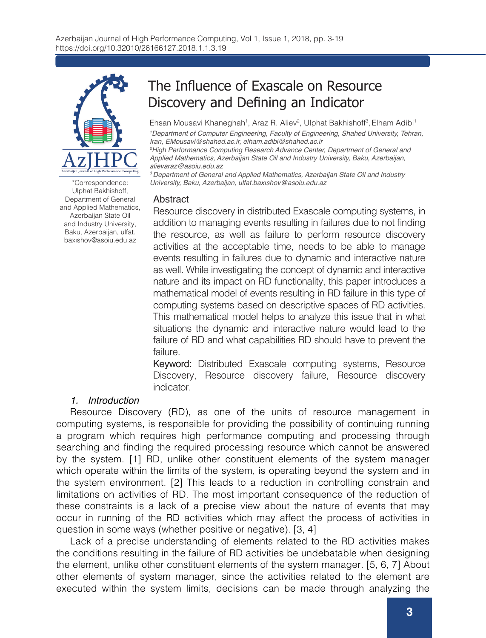

Ulphat Bakhishoff, Department of General and Applied Mathematics, Azerbaijan State Oil and Industry University, Baku, Azerbaijan, ulfat. baxıshov@asoiu.edu.az

# The Influence of Exascale on Resource Discovery and Defining an Indicator

Ehsan Mousavi Khaneghah<sup>1</sup>, Araz R. Aliev<sup>2</sup>, Ulphat Bakhishoff<sup>3</sup>, Elham Adibi<sup>1</sup> *1 Department of Computer Engineering, Faculty of Engineering, Shahed University, Tehran, Iran, EMousavi@shahed.ac.ir, elham.adibi@shahed.ac.ir*

*2 High Performance Computing Research Advance Center, Department of General and Applied Mathematics, Azerbaijan State Oil and Industry University, Baku, Azerbaijan, alievaraz@asoiu.edu.az*

*3 Department of General and Applied Mathematics, Azerbaijan State Oil and Industry*  \*Correspondence: *University, Baku, Azerbaijan,* ulfat.baxıshov@asoiu.edu.az

#### Abstract

Resource discovery in distributed Exascale computing systems, in addition to managing events resulting in failures due to not finding the resource, as well as failure to perform resource discovery activities at the acceptable time, needs to be able to manage events resulting in failures due to dynamic and interactive nature as well. While investigating the concept of dynamic and interactive nature and its impact on RD functionality, this paper introduces a mathematical model of events resulting in RD failure in this type of computing systems based on descriptive spaces of RD activities. This mathematical model helps to analyze this issue that in what situations the dynamic and interactive nature would lead to the failure of RD and what capabilities RD should have to prevent the failure.

Keyword: Distributed Exascale computing systems, Resource Discovery, Resource discovery failure, Resource discovery indicator.

# *1. Introduction*

Resource Discovery (RD), as one of the units of resource management in computing systems, is responsible for providing the possibility of continuing running a program which requires high performance computing and processing through searching and finding the required processing resource which cannot be answered by the system. [1] RD, unlike other constituent elements of the system manager which operate within the limits of the system, is operating beyond the system and in the system environment. [2] This leads to a reduction in controlling constrain and limitations on activities of RD. The most important consequence of the reduction of these constraints is a lack of a precise view about the nature of events that may occur in running of the RD activities which may affect the process of activities in question in some ways (whether positive or negative). [3, 4]

Lack of a precise understanding of elements related to the RD activities makes the conditions resulting in the failure of RD activities be undebatable when designing the element, unlike other constituent elements of the system manager. [5, 6, 7] About other elements of system manager, since the activities related to the element are executed within the system limits, decisions can be made through analyzing the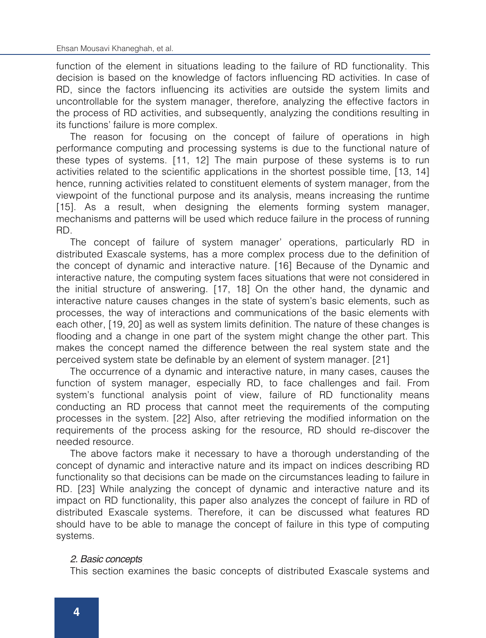function of the element in situations leading to the failure of RD functionality. This decision is based on the knowledge of factors influencing RD activities. In case of RD, since the factors influencing its activities are outside the system limits and uncontrollable for the system manager, therefore, analyzing the effective factors in the process of RD activities, and subsequently, analyzing the conditions resulting in its functions' failure is more complex.

The reason for focusing on the concept of failure of operations in high performance computing and processing systems is due to the functional nature of these types of systems. [11, 12] The main purpose of these systems is to run activities related to the scientific applications in the shortest possible time, [13, 14] hence, running activities related to constituent elements of system manager, from the viewpoint of the functional purpose and its analysis, means increasing the runtime [15]. As a result, when designing the elements forming system manager, mechanisms and patterns will be used which reduce failure in the process of running RD.

The concept of failure of system manager' operations, particularly RD in distributed Exascale systems, has a more complex process due to the definition of the concept of dynamic and interactive nature. [16] Because of the Dynamic and interactive nature, the computing system faces situations that were not considered in the initial structure of answering. [17, 18] On the other hand, the dynamic and interactive nature causes changes in the state of system's basic elements, such as processes, the way of interactions and communications of the basic elements with each other, [19, 20] as well as system limits definition. The nature of these changes is flooding and a change in one part of the system might change the other part. This makes the concept named the difference between the real system state and the perceived system state be definable by an element of system manager. [21]

The occurrence of a dynamic and interactive nature, in many cases, causes the function of system manager, especially RD, to face challenges and fail. From system's functional analysis point of view, failure of RD functionality means conducting an RD process that cannot meet the requirements of the computing processes in the system. [22] Also, after retrieving the modified information on the requirements of the process asking for the resource, RD should re-discover the needed resource.

The above factors make it necessary to have a thorough understanding of the concept of dynamic and interactive nature and its impact on indices describing RD functionality so that decisions can be made on the circumstances leading to failure in RD. [23] While analyzing the concept of dynamic and interactive nature and its impact on RD functionality, this paper also analyzes the concept of failure in RD of distributed Exascale systems. Therefore, it can be discussed what features RD should have to be able to manage the concept of failure in this type of computing systems.

### 2. Basic concepts *2. Basic concepts*

This section examines the basic concepts of distributed Exascale systems and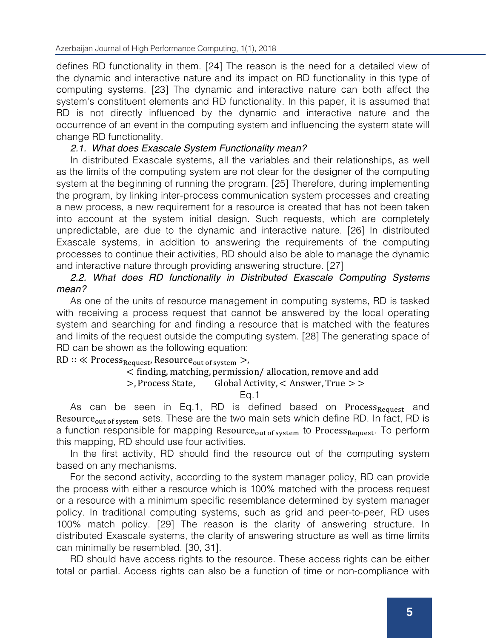defines RD functionality in them. [24] The reason is the need for a detailed view of the dynamic and interactive nature and its impact on RD functionality in this type of computing systems. [23] The dynamic and interactive nature can both affect the system's constituent elements and RD functionality. In this paper, it is assumed that RD is not directly influenced by the dynamic and interactive nature and the occurrence of an event in the computing system and influencing the system state will change RD functionality.

# *2.1. What does Exascale System Functionality mean?*

In distributed Exascale systems, all the variables and their relationships, as well as the limits of the computing system are not clear for the designer of the computing system at the beginning of running the program. [25] Therefore, during implementing the program, by linking inter-process communication system processes and creating a new process, a new requirement for a resource is created that has not been taken into account at the system initial design. Such requests, which are completely unpredictable, are due to the dynamic and interactive nature. [26] In distributed Exascale systems, in addition to answering the requirements of the computing processes to continue their activities, RD should also be able to manage the dynamic and interactive nature through providing answering structure. [27]

# *2.2. What does RD functionality in Distributed Exascale Computing Systems mean?*

As one of the units of resource management in computing systems, RD is tasked with receiving a process request that cannot be answered by the local operating system and searching for and finding a resource that is matched with the features and limits of the request outside the computing system. [28] The generating space of RD can be shown as the following equation:

 $RD :: \ll Process_{Request},$  Resource<sub>out of system</sub> >,

# $\le$  finding, matching, permission/ allocation, remove and add<br>  $>$  Process State. Global Activity  $\le$  Answer. True  $>$   $>$

#### Global Activity,  $<$  Answer, True  $>$  >

Eq.1

As can be seen in Eq.1, RD is defined based on Process<sub>Request</sub> and Resource<sub>out of system</sub> sets. These are the two main sets which define RD. In fact, RD is a function responsible for mapping Resource<sub>out of system</sub> to Process<sub>Request</sub>. To perform this mapping, RD should use four activities.

In the first activity, RD should find the resource out of the computing system based on any mechanisms.

For the second activity, according to the system manager policy, RD can provide the process with either a resource which is 100% matched with the process request or a resource with a minimum specific resemblance determined by system manager policy. In traditional computing systems, such as grid and peer-to-peer, RD uses 100% match policy. [29] The reason is the clarity of answering structure. In distributed Exascale systems, the clarity of answering structure as well as time limits can minimally be resembled. [30, 31].

RD should have access rights to the resource. These access rights can be either total or partial. Access rights can also be a function of time or non-compliance with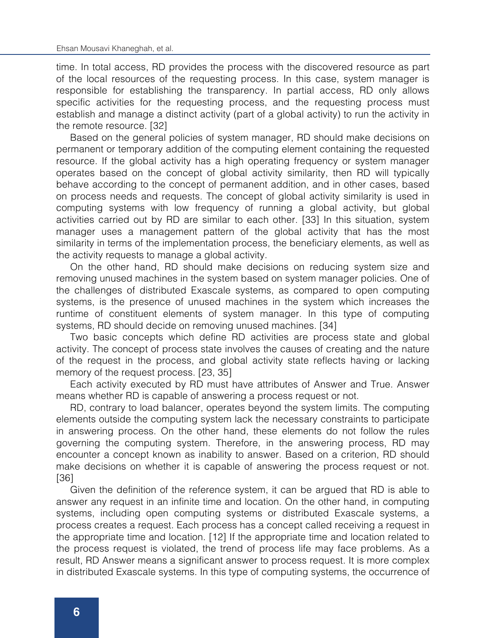time. In total access, RD provides the process with the discovered resource as part of the local resources of the requesting process. In this case, system manager is responsible for establishing the transparency. In partial access, RD only allows specific activities for the requesting process, and the requesting process must establish and manage a distinct activity (part of a global activity) to run the activity in the remote resource. [32]

Based on the general policies of system manager, RD should make decisions on permanent or temporary addition of the computing element containing the requested resource. If the global activity has a high operating frequency or system manager operates based on the concept of global activity similarity, then RD will typically behave according to the concept of permanent addition, and in other cases, based on process needs and requests. The concept of global activity similarity is used in computing systems with low frequency of running a global activity, but global activities carried out by RD are similar to each other. [33] In this situation, system manager uses a management pattern of the global activity that has the most similarity in terms of the implementation process, the beneficiary elements, as well as the activity requests to manage a global activity.

On the other hand, RD should make decisions on reducing system size and removing unused machines in the system based on system manager policies. One of the challenges of distributed Exascale systems, as compared to open computing systems, is the presence of unused machines in the system which increases the runtime of constituent elements of system manager. In this type of computing systems, RD should decide on removing unused machines. [34]

Two basic concepts which define RD activities are process state and global activity. The concept of process state involves the causes of creating and the nature of the request in the process, and global activity state reflects having or lacking memory of the request process. [23, 35]

Each activity executed by RD must have attributes of Answer and True. Answer means whether RD is capable of answering a process request or not.

RD, contrary to load balancer, operates beyond the system limits. The computing elements outside the computing system lack the necessary constraints to participate in answering process. On the other hand, these elements do not follow the rules governing the computing system. Therefore, in the answering process, RD may encounter a concept known as inability to answer. Based on a criterion, RD should make decisions on whether it is capable of answering the process request or not. [36]

Given the definition of the reference system, it can be argued that RD is able to answer any request in an infinite time and location. On the other hand, in computing systems, including open computing systems or distributed Exascale systems, a process creates a request. Each process has a concept called receiving a request in the appropriate time and location. [12] If the appropriate time and location related to the process request is violated, the trend of process life may face problems. As a result, RD Answer means a significant answer to process request. It is more complex in distributed Exascale systems. In this type of computing systems, the occurrence of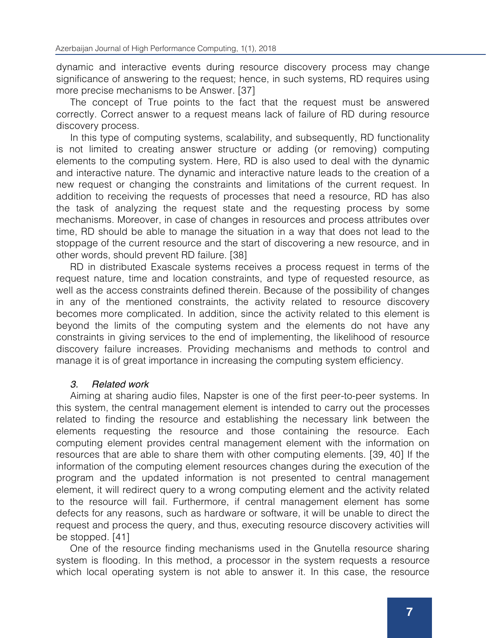dynamic and interactive events during resource discovery process may change significance of answering to the request; hence, in such systems, RD requires using more precise mechanisms to be Answer. [37]

The concept of True points to the fact that the request must be answered correctly. Correct answer to a request means lack of failure of RD during resource discovery process.

In this type of computing systems, scalability, and subsequently, RD functionality is not limited to creating answer structure or adding (or removing) computing elements to the computing system. Here, RD is also used to deal with the dynamic and interactive nature. The dynamic and interactive nature leads to the creation of a new request or changing the constraints and limitations of the current request. In addition to receiving the requests of processes that need a resource, RD has also the task of analyzing the request state and the requesting process by some mechanisms. Moreover, in case of changes in resources and process attributes over time, RD should be able to manage the situation in a way that does not lead to the stoppage of the current resource and the start of discovering a new resource, and in other words, should prevent RD failure. [38]

RD in distributed Exascale systems receives a process request in terms of the request nature, time and location constraints, and type of requested resource, as well as the access constraints defined therein. Because of the possibility of changes in any of the mentioned constraints, the activity related to resource discovery becomes more complicated. In addition, since the activity related to this element is beyond the limits of the computing system and the elements do not have any constraints in giving services to the end of implementing, the likelihood of resource discovery failure increases. Providing mechanisms and methods to control and manage it is of great importance in increasing the computing system efficiency.

# *3. Related work*

Aiming at sharing audio files, Napster is one of the first peer-to-peer systems. In this system, the central management element is intended to carry out the processes related to finding the resource and establishing the necessary link between the elements requesting the resource and those containing the resource. Each computing element provides central management element with the information on resources that are able to share them with other computing elements. [39, 40] If the information of the computing element resources changes during the execution of the program and the updated information is not presented to central management element, it will redirect query to a wrong computing element and the activity related to the resource will fail. Furthermore, if central management element has some defects for any reasons, such as hardware or software, it will be unable to direct the request and process the query, and thus, executing resource discovery activities will be stopped. [41]

One of the resource finding mechanisms used in the Gnutella resource sharing system is flooding. In this method, a processor in the system requests a resource which local operating system is not able to answer it. In this case, the resource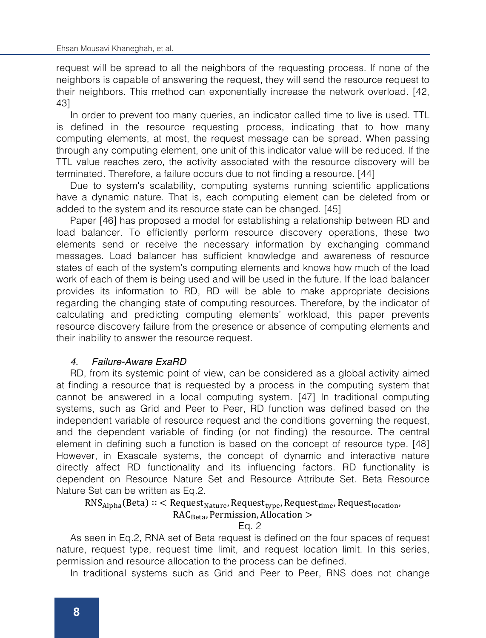request will be spread to all the neighbors of the requesting process. If none of the neighbors is capable of answering the request, they will send the resource request to their neighbors. This method can exponentially increase the network overload. [42, 43]

In order to prevent too many queries, an indicator called time to live is used. TTL is defined in the resource requesting process, indicating that to how many computing elements, at most, the request message can be spread. When passing through any computing element, one unit of this indicator value will be reduced. If the TTL value reaches zero, the activity associated with the resource discovery will be terminated. Therefore, a failure occurs due to not finding a resource. [44]

Due to system's scalability, computing systems running scientific applications have a dynamic nature. That is, each computing element can be deleted from or added to the system and its resource state can be changed. [45]

Paper [46] has proposed a model for establishing a relationship between RD and load balancer. To efficiently perform resource discovery operations, these two elements send or receive the necessary information by exchanging command messages. Load balancer has sufficient knowledge and awareness of resource states of each of the system's computing elements and knows how much of the load work of each of them is being used and will be used in the future. If the load balancer provides its information to RD, RD will be able to make appropriate decisions regarding the changing state of computing resources. Therefore, by the indicator of calculating and predicting computing elements' workload, this paper prevents resource discovery failure from the presence or absence of computing elements and their inability to answer the resource request.

# *4. Failure-Aware ExaRD*

RD, from its systemic point of view, can be considered as a global activity aimed at finding a resource that is requested by a process in the computing system that cannot be answered in a local computing system. [47] In traditional computing systems, such as Grid and Peer to Peer, RD function was defined based on the independent variable of resource request and the conditions governing the request, and the dependent variable of finding (or not finding) the resource. The central element in defining such a function is based on the concept of resource type. [48] However, in Exascale systems, the concept of dynamic and interactive nature directly affect RD functionality and its influencing factors. RD functionality is dependent on Resource Nature Set and Resource Attribute Set. Beta Resource Nature Set can be written as Eq.2.

 $RNS<sub>Alpha</sub>(Beta) :: Request<sub>Nature</sub>, Request<sub>type</sub>, Request<sub>time</sub>, Request<sub>local</sub>,$  $RAC_{Beta}$ , Permission, Allocation  $>$ 

Eq. 2

As seen in Eq.2, RNA set of Beta request is defined on the four spaces of request nature, request type, request time limit, and request location limit. In this series, permission and resource allocation to the process can be defined.

In traditional systems such as Grid and Peer to Peer, RNS does not change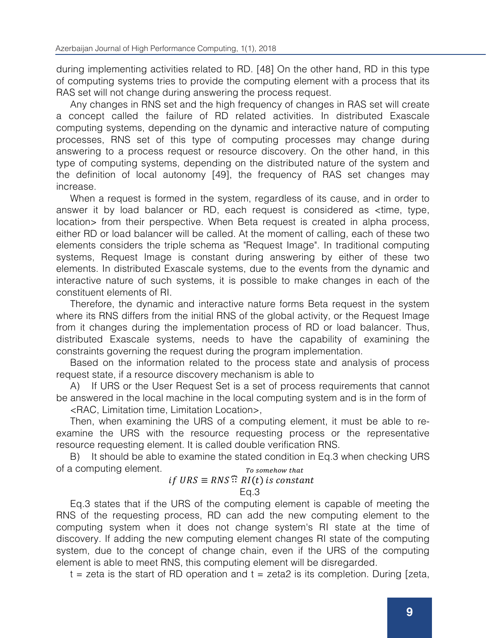during implementing activities related to RD. [48] On the other hand, RD in this type of computing systems tries to provide the computing element with a process that its RAS set will not change during answering the process request.

Any changes in RNS set and the high frequency of changes in RAS set will create a concept called the failure of RD related activities. In distributed Exascale computing systems, depending on the dynamic and interactive nature of computing processes, RNS set of this type of computing processes may change during answering to a process request or resource discovery. On the other hand, in this type of computing systems, depending on the distributed nature of the system and the definition of local autonomy [49], the frequency of RAS set changes may increase.

When a request is formed in the system, regardless of its cause, and in order to answer it by load balancer or RD, each request is considered as <time, type, location> from their perspective. When Beta request is created in alpha process, either RD or load balancer will be called. At the moment of calling, each of these two elements considers the triple schema as "Request Image". In traditional computing systems, Request Image is constant during answering by either of these two elements. In distributed Exascale systems, due to the events from the dynamic and interactive nature of such systems, it is possible to make changes in each of the constituent elements of RI.

Therefore, the dynamic and interactive nature forms Beta request in the system where its RNS differs from the initial RNS of the global activity, or the Request Image from it changes during the implementation process of RD or load balancer. Thus, distributed Exascale systems, needs to have the capability of examining the constraints governing the request during the program implementation.

Based on the information related to the process state and analysis of process request state, if a resource discovery mechanism is able to

A) If URS or the User Request Set is a set of process requirements that cannot be answered in the local machine in the local computing system and is in the form of <RAC, Limitation time, Limitation Location>,

Then, when examining the URS of a computing element, it must be able to reexamine the URS with the resource requesting process or the representative resource requesting element. It is called double verification RNS.

B) It should be able to examine the stated condition in Eq.3 when checking URS of a computing element. To somehow that

# *if URS*  $\equiv RNS$ <sup> $\Omega$ </sup>  $\Omega$  *RI*(*t*) *is constant*

# Eq.3

Eq.3 states that if the URS of the computing element is capable of meeting the RNS of the requesting process, RD can add the new computing element to the computing system when it does not change system's RI state at the time of discovery. If adding the new computing element changes RI state of the computing system, due to the concept of change chain, even if the URS of the computing element is able to meet RNS, this computing element will be disregarded.

 $t =$  zeta is the start of RD operation and  $t =$  zeta $2$  is its completion. During [zeta,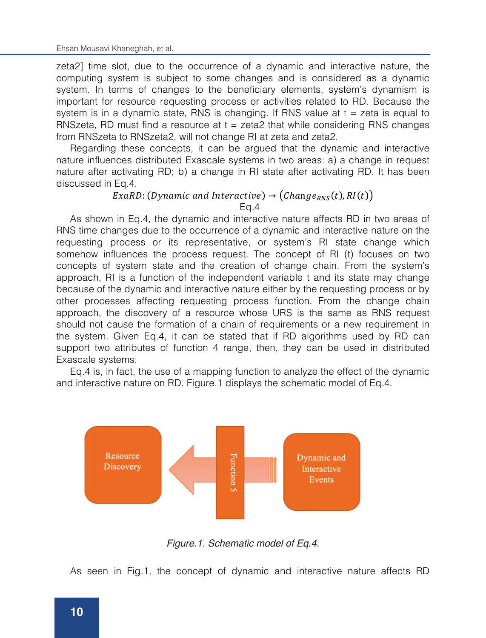zeta2] time slot, due to the occurrence of a dynamic and interactive nature, the computing system is subject to some changes and is considered as a dynamic system. In terms of changes to the beneficiary elements, system's dynamism is important for resource requesting process or activities related to RD. Because the system is in a dynamic state, RNS is changing. If RNS value at  $t = zeta$  is equal to RNSzeta, RD must find a resource at  $t = zeta2$  that while considering RNS changes from RNSzeta to RNSzeta2, will not change RI at zeta and zeta2.

Regarding these concepts, it can be argued that the dynamic and interactive nature influences distributed Exascale systems in two areas: a) a change in request nature after activating RD; b) a change in RI state after activating RD. It has been discussed in Eq.4.

#### $ExaRD$ : (Dynamic and Interactive)  $\rightarrow$  (Change<sub>RNS</sub>(t), RI(t)) Eq.4

As shown in Eq.4, the dynamic and interactive nature affects RD in two areas of RNS time changes due to the occurrence of a dynamic and interactive nature on the requesting process or its representative, or system's RI state change which somehow influences the process request. The concept of RI (t) focuses on two concepts of system state and the creation of change chain. From the system's approach, RI is a function of the independent variable t and its state may change because of the dynamic and interactive nature either by the requesting process or by other processes affecting requesting process function. From the change chain approach, the discovery of a resource whose URS is the same as RNS request should not cause the formation of a chain of requirements or a new requirement in the system. Given Eq.4, it can be stated that if RD algorithms used by RD can support two attributes of function 4 range, then, they can be used in distributed Exascale systems.

Eq.4 is, in fact, the use of a mapping function to analyze the effect of the dynamic and interactive nature on RD. Figure.1 displays the schematic model of Eq.4.



*Figure.1. Schematic model of Eq.4.*

As seen in Fig.1, the concept of dynamic and interactive nature affects RD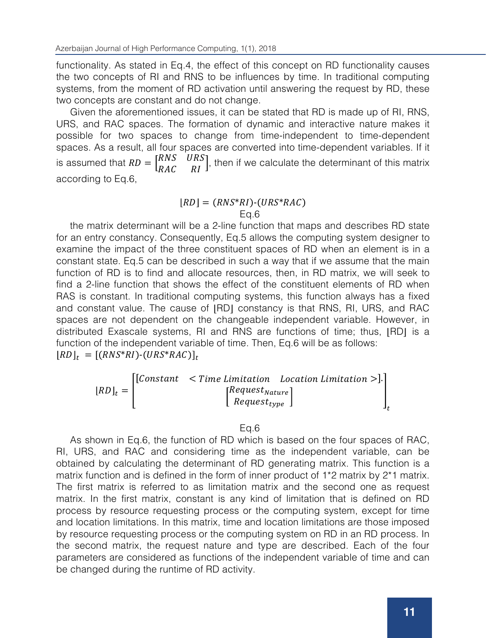functionality. As stated in Eq.4, the effect of this concept on RD functionality causes the two concepts of RI and RNS to be influences by time. In traditional computing systems, from the moment of RD activation until answering the request by RD, these two concepts are constant and do not change.

Given the aforementioned issues, it can be stated that RD is made up of RI, RNS, URS, and RAC spaces. The formation of dynamic and interactive nature makes it possible for two spaces to change from time-independent to time-dependent spaces. As a result, all four spaces are converted into time-dependent variables. If it is assumed that  $RD = \begin{bmatrix} RNS \\ RAC \end{bmatrix}$  $\left[\begin{array}{c} URS\\RI\end{array}\right]$ , then if we calculate the determinant of this matrix according to Eq.6,

#### $|RD| = (RNS^*RI)$ - $(URS^*RAC)$  $Fa.6$

the matrix determinant will be a 2-line function that maps and describes RD state for an entry constancy. Consequently, Eq.5 allows the computing system designer to examine the impact of the three constituent spaces of RD when an element is in a constant state. Eq.5 can be described in such a way that if we assume that the main function of RD is to find and allocate resources, then, in RD matrix, we will seek to find a 2-line function that shows the effect of the constituent elements of RD when RAS is constant. In traditional computing systems, this function always has a fixed and constant value. The cause of  $|RD|$  constancy is that RNS, RI, URS, and RAC spaces are not dependent on the changeable independent variable. However, in distributed Exascale systems, RI and RNS are functions of time; thus, ⌊RD⌋ is a function of the independent variable of time. Then, Eq.6 will be as follows:  $|RD|_t = [(RNS^*RI) \cdot (URS^*RAC)]_t$ 

|            |                                             | $\vert$ [Constant < Time Limitation Location Limitation >]. |  |
|------------|---------------------------------------------|-------------------------------------------------------------|--|
| $[RD]_t =$ | $[Request_{Native}]$                        |                                                             |  |
|            | $\lfloor$ Request <sub>type</sub> $\rfloor$ |                                                             |  |
|            |                                             |                                                             |  |

#### Eq.6

As shown in Eq.6, the function of RD which is based on the four spaces of RAC, RI, URS, and RAC and considering time as the independent variable, can be obtained by calculating the determinant of RD generating matrix. This function is a matrix function and is defined in the form of inner product of 1<sup>\*</sup>2 matrix by 2<sup>\*</sup>1 matrix. The first matrix is referred to as limitation matrix and the second one as request matrix. In the first matrix, constant is any kind of limitation that is defined on RD process by resource requesting process or the computing system, except for time and location limitations. In this matrix, time and location limitations are those imposed by resource requesting process or the computing system on RD in an RD process. In the second matrix, the request nature and type are described. Each of the four parameters are considered as functions of the independent variable of time and can be changed during the runtime of RD activity.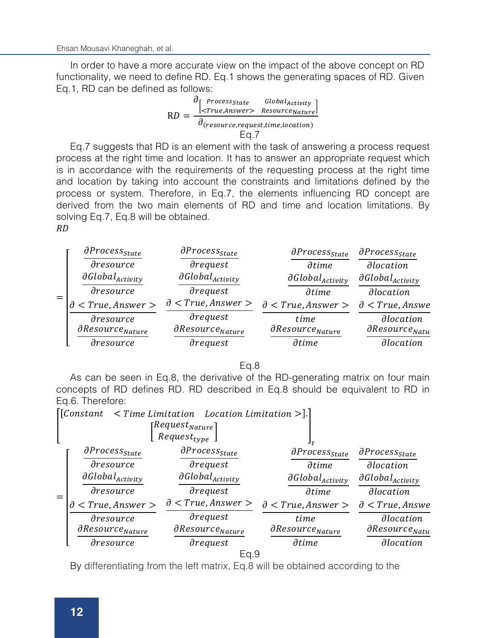In order to have a more accurate view on the impact of the above concept on RD functionality, we need to define RD. Eq.1 shows the generating spaces of RD. Given Eq.1, RD can be defined as follows:

$$
RD = \frac{\frac{\partial [ \text{Process}_{State} \quad \text{Global}_{Activity}]}{\text{curve}, \text{Resource}_{Native}]}}{\frac{\partial (\text{resource}, \text{request}, \text{time}, \text{location})}{\text{Eq}.7}}
$$

Eq.7 suggests that RD is an element with the task of answering a process request process at the right time and location. It has to answer an appropriate request which is in accordance with the requirements of the requesting process at the right time and location by taking into account the constraints and limitations defined by the process or system. Therefore, in Eq.7, the elements influencing RD concept are derived from the two main elements of RD and time and location limitations. By solving Eq.7, Eq.8 will be obtained.  $RD$ 

| $=$ | $\partial Process_{State}$                | $\partial Process_{State}$                         | $\partial Process_{State}$           | $\partial Process_{State}$                     |
|-----|-------------------------------------------|----------------------------------------------------|--------------------------------------|------------------------------------------------|
|     | $\partial$ resource                       | $\partial$ request                                 | $\partial time$                      | <i>dlocation</i>                               |
|     | $\partial Global_{Activity}$              | $\partial Global_{Activity}$                       | $\partial Global_{Activity}$         | $\partial Global_{Activity}$                   |
|     | $\partial$ resource                       | $\partial$ request                                 | <i><u><b><u>Atime</u></b></u></i>    | $\partial$ <i>location</i>                     |
|     | $\partial$ < True, Answer >               | $\partial$ < True, Answer >                        | $\partial$ < True, Answer >          | $\partial$ < True, Answe                       |
|     | dresource<br>$\partial Resource_{Native}$ | $\partial$ request<br>$\partial Resource_{Native}$ | time<br>$\partial Resource_{Native}$ | <i>dlocation</i><br>$\partial Resource_{Natu}$ |
|     | dresource                                 | $\partial$ request                                 | $\partial time$                      | <i>dlocation</i>                               |

 $E<sub>0.8</sub>$ 

As can be seen in Eq.8, the derivative of the RD-generating matrix on four main concepts of RD defines RD. RD described in Eq.8 should be equivalent to RD in Eq.6. Therefore:

|                           |                              | [Constant $\langle$ Time Limitation Location Limitation $\rangle$ ].] |                              |                              |  |  |
|---------------------------|------------------------------|-----------------------------------------------------------------------|------------------------------|------------------------------|--|--|
|                           | [Request $_{Nature}$ ]       |                                                                       |                              |                              |  |  |
| Request <sub>type</sub> J |                              |                                                                       | J t                          |                              |  |  |
|                           | $\partial Process_{State}$   | $\partial Process_{State}$                                            | $\partial Process_{State}$   | $\partial Process_{State}$   |  |  |
|                           | dresource                    | $\partial$ request                                                    | $\partial time$              | <i>dlocation</i>             |  |  |
|                           | $\partial Global_{Activity}$ | $\partial Global_{Activity}$                                          | $\partial Global_{Activity}$ | $\partial Global_{Activity}$ |  |  |
|                           | dresource                    | $\partial$ request                                                    | $\partial time$              | <i>dlocation</i>             |  |  |
|                           | $\partial$ < True, Answer >  | $\partial$ < True, Answer >                                           | $\partial$ < True, Answer >  | $\partial$ < True, Answe     |  |  |
|                           | dresource                    | drequest                                                              | time                         | <i>dlocation</i>             |  |  |
|                           | $\partial Resource_{Native}$ | $\partial Resource_{Native}$                                          | $\partial Resource_{Native}$ | $\partial Resource_{Natu}$   |  |  |
|                           | dresource                    | drequest                                                              | $\partial time$              | <i>dlocation</i>             |  |  |
| Ea.9                      |                              |                                                                       |                              |                              |  |  |

By differentiating from the left matrix, Eq.8 will be obtained according to the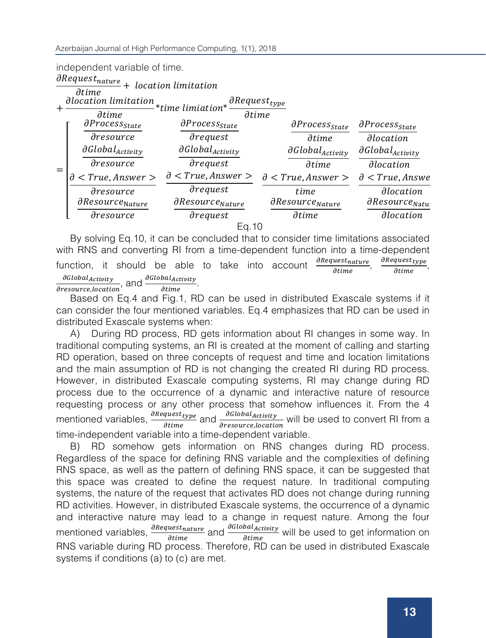#### independent variable of time.

|       | $\partial Request_{nature}$                                       | + location limitation        |                                              |                              |  |  |
|-------|-------------------------------------------------------------------|------------------------------|----------------------------------------------|------------------------------|--|--|
|       | $\partial time$<br><b>dlocation</b> limitation<br>$\partial time$ | *time limiation*             | $\partial Request_{type}$<br>$\partial time$ |                              |  |  |
| $=$   | $\partial Process_{State}$                                        | $\partial Process_{State}$   | $\partial Process_{State}$                   | $\partial Process_{State}$   |  |  |
|       | dresource                                                         | $\partial$ request           | $\partial time$                              | <i>dlocation</i>             |  |  |
|       | $\partial Global_{Activity}$                                      | $\partial Global_{Activity}$ | $\partial Global_{Activity}$                 | $\partial Global_{Activity}$ |  |  |
|       | dresource                                                         | $\partial$ request           | $\partial time$                              | <i>dlocation</i>             |  |  |
|       | $<$ True, Answer $>$<br>$\partial$                                | $\partial$ < True, Answer >  | $\partial$ < True, Answer >                  | $\partial$ < True, Answe     |  |  |
|       | $\partial$ resource                                               | <i>drequest</i>              | time                                         | <i>dlocation</i>             |  |  |
|       | $\partial Resource_{\mathrm Nature}$                              | $\partial Resource_{Native}$ | $\partial Resource_{Nature}$                 | $\partial Resource_{Natt}$   |  |  |
|       | dresource                                                         | $\partial$ request           | $\partial time$                              | <i>dlocation</i>             |  |  |
| Ea.10 |                                                                   |                              |                                              |                              |  |  |

By solving Eq.10, it can be concluded that to consider time limitations associated with RNS and converting RI from a time-dependent function into a time-dependent function, it should be able to take into account  $\frac{\partial Request_{nature}}{\partial time}$ ,  $\frac{\partial Request_{type}}{\partial time}$  $\frac{\partial Request_{type}}{\partial time}$  $\frac{\partial Global_{Activity}}{\partial resource,location}$ , and  $\frac{\partial Global_{Activity}}{\partial time}$ .

Based on Eq.4 and Fig.1, RD can be used in distributed Exascale systems if it can consider the four mentioned variables. Eq.4 emphasizes that RD can be used in distributed Exascale systems when:

A) During RD process, RD gets information about RI changes in some way. In traditional computing systems, an RI is created at the moment of calling and starting RD operation, based on three concepts of request and time and location limitations and the main assumption of RD is not changing the created RI during RD process. However, in distributed Exascale computing systems, RI may change during RD process due to the occurrence of a dynamic and interactive nature of resource requesting process or any other process that somehow influences it. From the 4 mentioned variables,  $\frac{\partial Reguest_{type}}{\partial time}$  and  $\frac{\partial GlobalActivity}{\partial resource,location}$  will be used to convert RI from a time-independent variable into a time-dependent variable.

B) RD somehow gets information on RNS changes during RD process. Regardless of the space for defining RNS variable and the complexities of defining RNS space, as well as the pattern of defining RNS space, it can be suggested that this space was created to define the request nature. In traditional computing systems, the nature of the request that activates RD does not change during running RD activities. However, in distributed Exascale systems, the occurrence of a dynamic and interactive nature may lead to a change in request nature. Among the four mentioned variables,  $\frac{\partial \text{Request}_{\text{native}}}{\partial \text{time}}$  and  $\frac{\partial \text{GlobalActivity}}{\partial \text{time}}$  will be used to get information on RNS variable during RD process. Therefore, RD can be used in distributed Exascale systems if conditions (a) to (c) are met.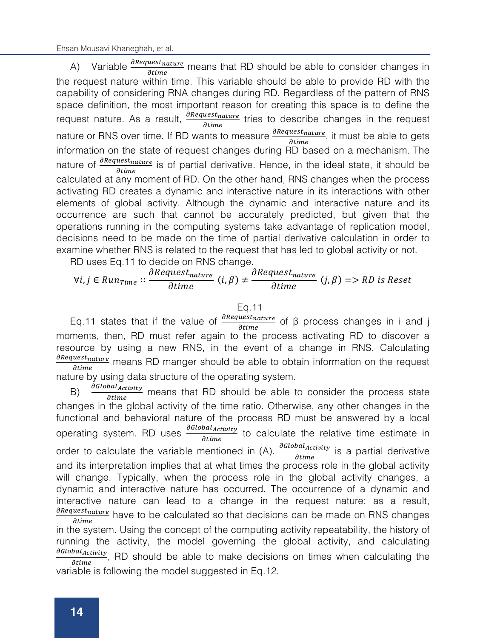Ehsan Mousavi Khaneghah, et al.

A) Variable  $\frac{\partial \text{Request}_{\text{native}}}{\partial \text{time}}$  means that RD should be able to consider changes in the request nature within time. This variable should be able to provide RD with the capability of considering RNA changes during RD. Regardless of the pattern of RNS space definition, the most important reason for creating this space is to define the request nature. As a result,  $\frac{\partial \text{Request}_{\text{native}}}{\partial \text{time}}$  tries to describe changes in the request nature or RNS over time. If RD wants to measure  $\frac{\partial \text{Request}_\text{native}}{\partial \text{time}}$ , it must be able to gets information on the state of request changes during RD based on a mechanism. The nature of  $\frac{\partial \text{Request}_{\text{native}}}{\partial \text{time}}$  is of partial derivative. Hence, in the ideal state, it should be calculated at any moment of RD. On the other hand, RNS changes when the process activating RD creates a dynamic and interactive nature in its interactions with other elements of global activity. Although the dynamic and interactive nature and its occurrence are such that cannot be accurately predicted, but given that the operations running in the computing systems take advantage of replication model, decisions need to be made on the time of partial derivative calculation in order to examine whether RNS is related to the request that has led to global activity or not.

RD uses Eq.11 to decide on RNS change.

# $\forall i, j \in Run_{Time} :: \frac{dRequest_{native}}{dtime} (i, \beta) \neq \frac{dRequest_{native}}{dtime} (j, \beta) \Rightarrow RD \text{ is } R$

#### Eq.11

Eq.11 states that if the value of  $\frac{\partial \text{Request}_\text{native}}{\partial \text{time}}$  of β process changes in i and j moments, then, RD must refer again to the process activating RD to discover a resource by using a new RNS, in the event of a change in RNS. Calculating  $\frac{\partial \textit{Request}_\textit{native}}{\partial \textit{time}}$  means RD manger should be able to obtain information on the request nature by using data structure of the operating system.

B)  $\frac{\partial Global*Activity*}{\partial time}$  means that RD should be able to consider the process state changes in the global activity of the time ratio. Otherwise, any other changes in the functional and behavioral nature of the process RD must be answered by a local operating system. RD uses  $\frac{\partial GlobalActivity}{\partial time}$  to calculate the relative time estimate in order to calculate the variable mentioned in  $(A)$ .  $\frac{\partial GlobalActivity}{\partial time}$  is a partial derivative and its interpretation implies that at what times the process role in the global activity will change. Typically, when the process role in the global activity changes, a dynamic and interactive nature has occurred. The occurrence of a dynamic and interactive nature can lead to a change in the request nature; as a result,  $\frac{\partial \textit{Requestnature}}{\partial \textit{time}}$  have to be calculated so that decisions can be made on RNS changes in the system. Using the concept of the computing activity repeatability, the history of running the activity, the model governing the global activity, and calculating  $\frac{\partial G_{i}^{G_{i}}(B_{i})}{\partial t_{i}}$ , RD should be able to make decisions on times when calculating the variable is following the model suggested in Eq.12.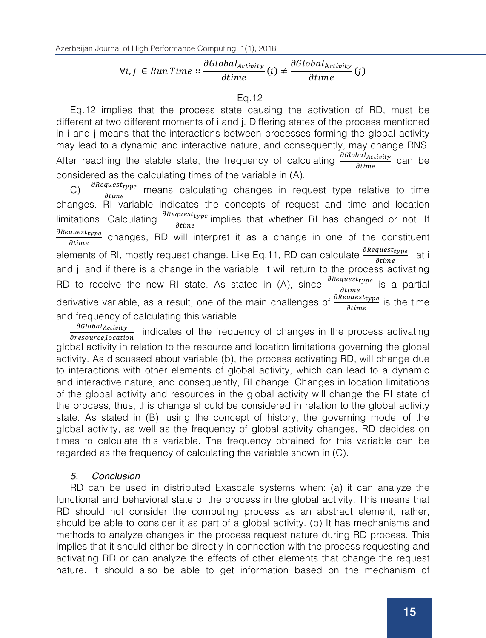# $\forall i, j \in R$ un Time  $\therefore \frac{\partial G [total_{Activity}}{\partial time}(i) \neq \frac{\partial G [total_{Activity}}{\partial time}(j))$

#### Eq.12

Eq.12 implies that the process state causing the activation of RD, must be different at two different moments of i and j. Differing states of the process mentioned in i and j means that the interactions between processes forming the global activity may lead to a dynamic and interactive nature, and consequently, may change RNS. After reaching the stable state, the frequency of calculating  $\frac{\partial G_{i}(\delta B_{i}a_{i}+c_{i}t_{i})}{\partial t_{i}m_{e}}$  can be considered as the calculating times of the variable in (A).

C)  $\frac{\partial \text{Request}_{type}}{\partial \text{time}}$  means calculating changes in request type relative to time changes. RI variable indicates the concepts of request and time and location limitations. Calculating  $\frac{\partial \textit{Request}_{type}}{\partial \textit{time}}$  implies that whether RI has changed or not. If  $\frac{\partial \text{Request}_{type}}{\partial \text{time}}$  changes, RD will interpret it as a change in one of the constituent elements of RI, mostly request change. Like Eq.11, RD can calculate  $\frac{\partial \text{Request}_{type}}{\partial \text{time}}$  at i and j, and if there is a change in the variable, it will return to the process activating RD to receive the new RI state. As stated in (A), since  $\frac{\partial \text{Request}_{type}}{\partial \text{time}}$  is a partial derivative variable, as a result, one of the main challenges of  $\frac{\partial Reguestype}{\partial time}$  is the time and frequency of calculating this variable.

<sup>dGlobal</sup>Activity indicates of the frequency of changes in the process activating<br>dresource,location global activity in relation to the resource and location limitations governing the global activity. As discussed about variable (b), the process activating RD, will change due to interactions with other elements of global activity, which can lead to a dynamic and interactive nature, and consequently, RI change. Changes in location limitations of the global activity and resources in the global activity will change the RI state of the process, thus, this change should be considered in relation to the global activity state. As stated in (B), using the concept of history, the governing model of the global activity, as well as the frequency of global activity changes, RD decides on times to calculate this variable. The frequency obtained for this variable can be regarded as the frequency of calculating the variable shown in (C).

# *5. Conclusion*

RD can be used in distributed Exascale systems when: (a) it can analyze the functional and behavioral state of the process in the global activity. This means that RD should not consider the computing process as an abstract element, rather, should be able to consider it as part of a global activity. (b) It has mechanisms and methods to analyze changes in the process request nature during RD process. This implies that it should either be directly in connection with the process requesting and activating RD or can analyze the effects of other elements that change the request nature. It should also be able to get information based on the mechanism of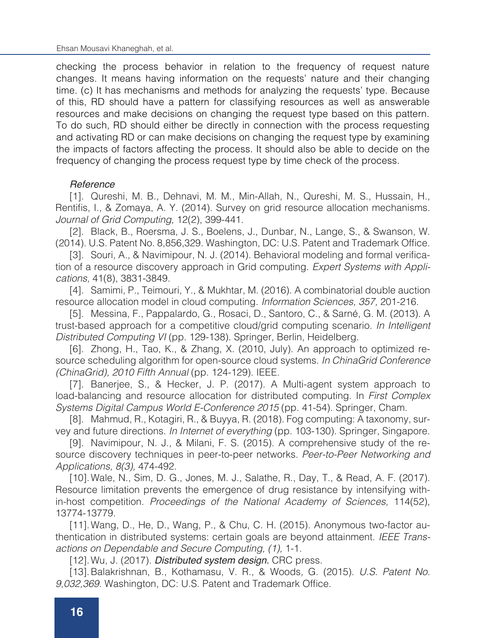checking the process behavior in relation to the frequency of request nature changes. It means having information on the requests' nature and their changing time. (c) It has mechanisms and methods for analyzing the requests' type. Because of this, RD should have a pattern for classifying resources as well as answerable resources and make decisions on changing the request type based on this pattern. To do such, RD should either be directly in connection with the process requesting and activating RD or can make decisions on changing the request type by examining the impacts of factors affecting the process. It should also be able to decide on the frequency of changing the process request type by time check of the process.

# *Reference Reference*

1. Qureshi, M. B., Dehnavi, M. M., Min-Allah, N., Qureshi, M. S., Hussain, H., [1]. Qureshi, M. B., Dehnavi, M. M., Min-Allah, N., Qureshi, M. S., Hussain, H., Rentifis, I., & Zomaya, A. Y. (2014). Survey on grid resource allocation mechanisms. Rentifis, I., & Zomaya, A. Y. (2014). Survey on grid resource allocation mechanisms. Journal of Grid Computing, 12(2), 399-441. *Journal of Grid Computing,* 12(2), 399-441.

2. Black, B., Roersma, J. S., Boelens, J., Dunbar, N., Lange, S., & Swanson, W. [2]. Black, B., Roersma, J. S., Boelens, J., Dunbar, N., Lange, S., & Swanson, W. (2014). U.S. Patent No. 8,856,329. Washington, DC: U.S. Patent and Trademark (2014). U.S. Patent No. 8,856,329. Washington, DC: U.S. Patent and Trademark Office.

[3]. Souri, A., & Navimipour, N. J. (2014). Behavioral modeling and formal verification of a resource discovery approach in Grid computing. *Expert Systems with Appli*verification of a resource discovery approach in Grid computing. Expert Systems with *cations,* 41(8), 3831-3849.

[4]. Samimi, P., Teimouri, Y., & Mukhtar, M. (2016). A combinatorial double auction resource allocation model in cloud computing. *Information Sciences, 357,* 201-216.

[5]. Messina, F., Pappalardo, G., Rosaci, D., Santoro, C., & Sarné, G. M. (2013). A trust-based approach for a competitive cloud/grid computing scenario. *In Intelligent* Distributed Computing VI (pp. 129-138). Springer, Berlin, Heidelberg.

[6]. Zhong, H., Tao, K., & Zhang, X. (2010, July). An approach to optimized resource scheduling algorithm for open-source cloud systems. *In ChinaGrid Conference (ChinaGrid), 2010 Fifth Annual* (pp. 124-129). IEEE.

[7]. Banerjee, S., & Hecker, J. P. (2017). A Multi-agent system approach to load-balancing and resource allocation for distributed computing. In *First Complex* Systems Digital Campus World E-Conference 2015 (pp. 41-54). Springer, Cham.

[8]. Mahmud, R., Kotagiri, R., & Buyya, R. (2018). Fog computing: A taxonomy, survey and future directions. *In Internet of everything* (pp. 103-130). Springer, Singapore.

[9]. Navimipour, N. J., & Milani, F. S. (2015). A comprehensive study of the resource discovery techniques in peer-to-peer networks. Peer-to-Peer Networking and Applications, 8(3), 474-492.

[10]. Wale, N., Sim, D. G., Jones, M. J., Salathe, R., Day, T., & Read, A. F. (2017). Resource limitation prevents the emergence of drug resistance by intensifying within-host competition. *Proceedings of the National Academy of Sciences*, 114(52), 13774-13779. Wale, S., S., S., G., G., G., G., G., G., G., G., D., D., G., A. F. (2017). T. (2017). T. (2017). T. (2017). T. (2017). T. (2017). T. (2017). T. (2017). T. (2017). T. (2017). T. (2017). T. (2017). T. (2017). T

[11]. Wang, D., He, D., Wang, P., & Chu, C. H. (2015). Anonymous two-factor authentication in distributed systems: certain goals are beyond attainment. *IEEE Trans*actions on Dependable and Secure Computing, (1), 1-1.

[12]. Wu, J. (2017). *Distributed system design*. CRC press.

[13].Balakrishnan, B., Kothamasu, V. R., & Woods, G. (2015). *U.S. Patent No. 9,032,369.* Washington, DC: U.S. Patent and Trademark Office.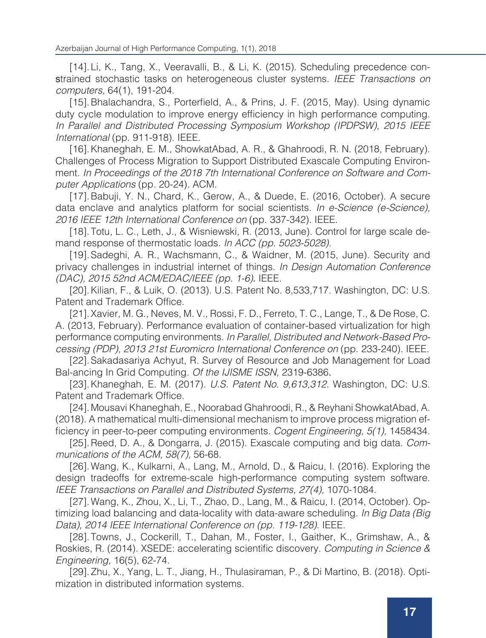[14].Li, K., Tang, X., Veeravalli, B., & Li, K. (2015). Scheduling precedence constrained stochastic tasks on heterogeneous cluster systems. *IEEE Transactions on computers,* 64(1), 191-204.

[15].Bhalachandra, S., Porterfield, A., & Prins, J. F. (2015, May). Using dynamic duty cycle modulation to improve energy efficiency in high performance computing. *In Parallel and Distributed Processing Symposium Workshop (IPDPSW), 2015 IEEE International* (pp. 911-918). IEEE.

[16].Khaneghah, E. M., ShowkatAbad, A. R., & Ghahroodi, R. N. (2018, February). Challenges of Process Migration to Support Distributed Exascale Computing Environment. *In Proceedings of the 2018 7th International Conference on Software and Computer Applications* (pp. 20-24). ACM.

[17]. Babuji, Y. N., Chard, K., Gerow, A., & Duede, E. (2016, October). A secure data enclave and analytics platform for social scientists. *In e-Science (e-Science), 2016 IEEE 12th International Conference on* (pp. 337-342). IEEE.

[18].Totu, L. C., Leth, J., & Wisniewski, R. (2013, June). Control for large scale demand response of thermostatic loads. *In ACC (pp. 5023-5028).*

[19].Sadeghi, A. R., Wachsmann, C., & Waidner, M. (2015, June). Security and privacy challenges in industrial internet of things. *In Design Automation Conference (DAC), 2015 52nd ACM/EDAC/IEEE (pp. 1-6)*. IEEE.

[20].Kilian, F., & Luik, O. (2013). U.S. Patent No. 8,533,717. Washington, DC: U.S. Patent and Trademark Office.

[21].Xavier, M. G., Neves, M. V., Rossi, F. D., Ferreto, T. C., Lange, T., & De Rose, C. A. (2013, February). Performance evaluation of container-based virtualization for high performance computing environments. *In Parallel, Distributed and Network-Based Processing (PDP), 2013 21st Euromicro International Conference on* (pp. 233-240). IEEE.

[22].Sakadasariya Achyut, R. Survey of Resource and Job Management for Load Bal-ancing In Grid Computing. *Of the IJISME ISSN,* 2319-6386.

[23].Khaneghah, E. M. (2017). *U.S. Patent No. 9,613,312.* Washington, DC: U.S. Patent and Trademark Office.

[24].Mousavi Khaneghah, E., Noorabad Ghahroodi, R., & Reyhani ShowkatAbad, A. (2018). A mathematical multi-dimensional mechanism to improve process migration efficiency in peer-to-peer computing environments. *Cogent Engineering, 5(1),* 1458434.

[25].Reed, D. A., & Dongarra, J. (2015). Exascale computing and big data. *Communications of the ACM, 58(7),* 56-68.

[26].Wang, K., Kulkarni, A., Lang, M., Arnold, D., & Raicu, I. (2016). Exploring the design tradeoffs for extreme-scale high-performance computing system software. IEEE Transactions on Parallel and Distributed Systems, 27(4), 1070-1084.

[27].Wang, K., Zhou, X., Li, T., Zhao, D., Lang, M., & Raicu, I. (2014, October). Optimizing load balancing and data-locality with data-aware scheduling. *In Big Data (Big Data), 2014 IEEE International Conference on (pp. 119-128).* IEEE.

[28].Towns, J., Cockerill, T., Dahan, M., Foster, I., Gaither, K., Grimshaw, A., & Roskies, R. (2014). XSEDE: accelerating scientific discovery. *Computing in Science & Engineering,* 16(5), 62-74.

[29].Zhu, X., Yang, L. T., Jiang, H., Thulasiraman, P., & Di Martino, B. (2018). Optimization in distributed information systems.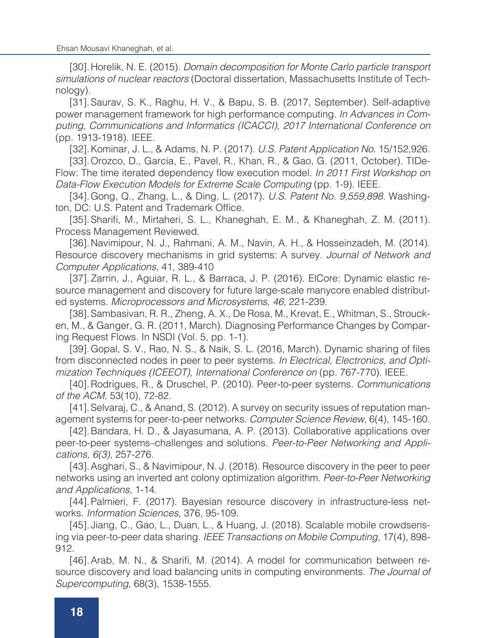[30].Horelik, N. E. (2015). *Domain decomposition for Monte Carlo particle transport simulations of nuclear reactors* (Doctoral dissertation, Massachusetts Institute of Technology).

[31].Saurav, S. K., Raghu, H. V., & Bapu, S. B. (2017, September). Self-adaptive power management framework for high performance computing. *In Advances in Computing, Communications and Informatics (ICACCI), 2017 International Conference on*  (pp. 1913-1918). IEEE.

[32].Kominar, J. L., & Adams, N. P. (2017). *U.S. Patent Application No.* 15/152,926.

[33].Orozco, D., Garcia, E., Pavel, R., Khan, R., & Gao, G. (2011, October). TIDe-Flow: The time iterated dependency flow execution model. *In 2011 First Workshop on Data-Flow Execution Models for Extreme Scale Computing* (pp. 1-9). IEEE.

[34].Gong, Q., Zhang, L., & Ding, L. (2017). *U.S. Patent No. 9,559,898.* Washington, DC: U.S. Patent and Trademark Office.

[35].Sharifi, M., Mirtaheri, S. L., Khaneghah, E. M., & Khaneghah, Z. M. (2011). Process Management Reviewed.

[36].Navimipour, N. J., Rahmani, A. M., Navin, A. H., & Hosseinzadeh, M. (2014). Resource discovery mechanisms in grid systems: A survey. *Journal of Network and Computer Applications,* 41, 389-410

[37].Zarrin, J., Aguiar, R. L., & Barraca, J. P. (2016). ElCore: Dynamic elastic resource management and discovery for future large-scale manycore enabled distributed systems. *Microprocessors and Microsystems, 46,* 221-239.

[38].Sambasivan, R. R., Zheng, A. X., De Rosa, M., Krevat, E., Whitman, S., Stroucken, M., & Ganger, G. R. (2011, March). Diagnosing Performance Changes by Comparing Request Flows. In NSDI (Vol. 5, pp. 1-1).

[39].Gopal, S. V., Rao, N. S., & Naik, S. L. (2016, March). Dynamic sharing of files from disconnected nodes in peer to peer systems. *In Electrical, Electronics, and Optimization Techniques (ICEEOT), International Conference on* (pp. 767-770). IEEE.

[40].Rodrigues, R., & Druschel, P. (2010). Peer-to-peer systems. *Communications of the ACM,* 53(10), 72-82.

[41].Selvaraj, C., & Anand, S. (2012). A survey on security issues of reputation management systems for peer-to-peer networks. *Computer Science Review,* 6(4), 145-160.

[42].Bandara, H. D., & Jayasumana, A. P. (2013). Collaborative applications over peer-to-peer systems–challenges and solutions. *Peer-to-Peer Networking and Applications, 6(3),* 257-276.

[43].Asghari, S., & Navimipour, N. J. (2018). Resource discovery in the peer to peer networks using an inverted ant colony optimization algorithm. *Peer-to-Peer Networking and Applications,* 1-14.

[44].Palmieri, F. (2017). Bayesian resource discovery in infrastructure-less networks. *Information Sciences,* 376, 95-109.

[45]. Jiang, C., Gao, L., Duan, L., & Huang, J. (2018). Scalable mobile crowdsensing via peer-to-peer data sharing. *IEEE Transactions on Mobile Computing,* 17(4), 898- 912.

[46].Arab, M. N., & Sharifi, M. (2014). A model for communication between resource discovery and load balancing units in computing environments. *The Journal of Supercomputing,* 68(3), 1538-1555.